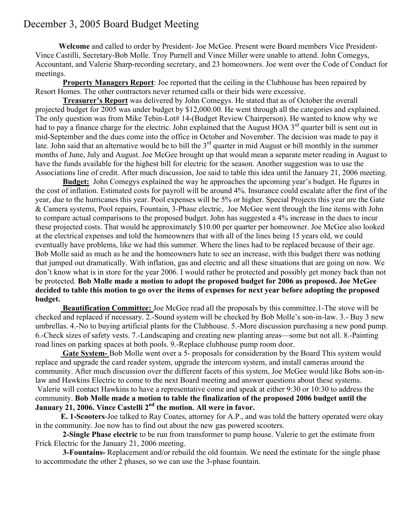## December 3, 2005 Board Budget Meeting

 **Welcome** and called to order by President- Joe McGee. Present were Board members Vice President-Vince Castilli, Secretary-Bob Molle. Troy Purnell and Vince Miller were unable to attend. John Comegys, Accountant, and Valerie Sharp-recording secretary, and 23 homeowners. Joe went over the Code of Conduct for meetings.

 **Property Managers Report**: Joe reported that the ceiling in the Clubhouse has been repaired by Resort Homes. The other contractors never returned calls or their bids were excessive.

 **Treasurer's Report** was delivered by John Comegys. He stated that as of October the overall projected budget for 2005 was under budget by \$12,000.00. He went through all the categories and explained. The only question was from Mike Tebin-Lot# 14-(Budget Review Chairperson). He wanted to know why we had to pay a finance charge for the electric. John explained that the August HOA 3<sup>rd</sup> quarter bill is sent out in mid-September and the dues come into the office in October and November. The decision was made to pay it late. John said that an alternative would be to bill the  $3<sup>rd</sup>$  quarter in mid August or bill monthly in the summer months of June, July and August. Joe McGee brought up that would mean a separate meter reading in August to have the funds available for the highest bill for electric for the season. Another suggestion was to use the Associations line of credit. After much discussion, Joe said to table this idea until the January 21, 2006 meeting.

 **Budget:** John Comegys explained the way he approaches the upcoming year's budget. He figures in the cost of inflation. Estimated costs for payroll will be around 4%. Insurance could escalate after the first of the year, due to the hurricanes this year. Pool expenses will be 5% or higher. Special Projects this year are the Gate & Camera systems, Pool repairs, Fountain, 3-Phase electric, Joe McGee went through the line items with John to compare actual comparisons to the proposed budget. John has suggested a 4% increase in the dues to incur these projected costs. That would be approximately \$10.00 per quarter per homeowner. Joe McGee also looked at the electrical expenses and told the homeowners that with all of the lines being 15 years old, we could eventually have problems, like we had this summer. Where the lines had to be replaced because of their age. Bob Molle said as much as he and the homeowners hate to see an increase, with this budget there was nothing that jumped out dramatically. With inflation, gas and electric and all these situations that are going on now. We don't know what is in store for the year 2006. I would rather be protected and possibly get money back than not be protected. **Bob Molle made a motion to adopt the proposed budget for 2006 as proposed. Joe McGee decided to table this motion to go over the items of expenses for next year before adopting the proposed budget.**

 **Beautification Committee:** Joe McGee read all the proposals by this committee.1-The stove will be checked and replaced if necessary. 2.-Sound system will be checked by Bob Molle's son-in-law. 3.- Buy 3 new umbrellas. 4.-No to buying artificial plants for the Clubhouse. 5.-More discussion purchasing a new pond pump. 6.-Check sizes of safety vests. 7.-Landscaping and creating new planting areas—some but not all. 8.-Painting road lines on parking spaces at both pools. 9.-Replace clubhouse pump room door.

 **Gate System-** Bob Molle went over a 5- proposals for consideration by the Board This system would replace and upgrade the card reader system, upgrade the intercom system, and install cameras around the community. After much discussion over the different facets of this system, Joe McGee would like Bobs son-inlaw and Hawkins Electric to come to the next Board meeting and answer questions about these systems. Valerie will contact Hawkins to have a representative come and speak at either 9:30 or 10:30 to address the community. **Bob Molle made a motion to table the finalization of the proposed 2006 budget until the January 21, 2006. Vince Castelli 2nd the motion. All were in favor.**

 **E. 1-Scooters**-Joe talked to Ray Coates, attorney for A.P., and was told the battery operated were okay in the community. Joe now has to find out about the new gas powered scooters.

 **2-Single Phase electric** to be run from transformer to pump house. Valerie to get the estimate from Frick Electric for the January 21, 2006 meeting.

 **3-Fountains-** Replacement and/or rebuild the old fountain. We need the estimate for the single phase to accommodate the other 2 phases, so we can use the 3-phase fountain.